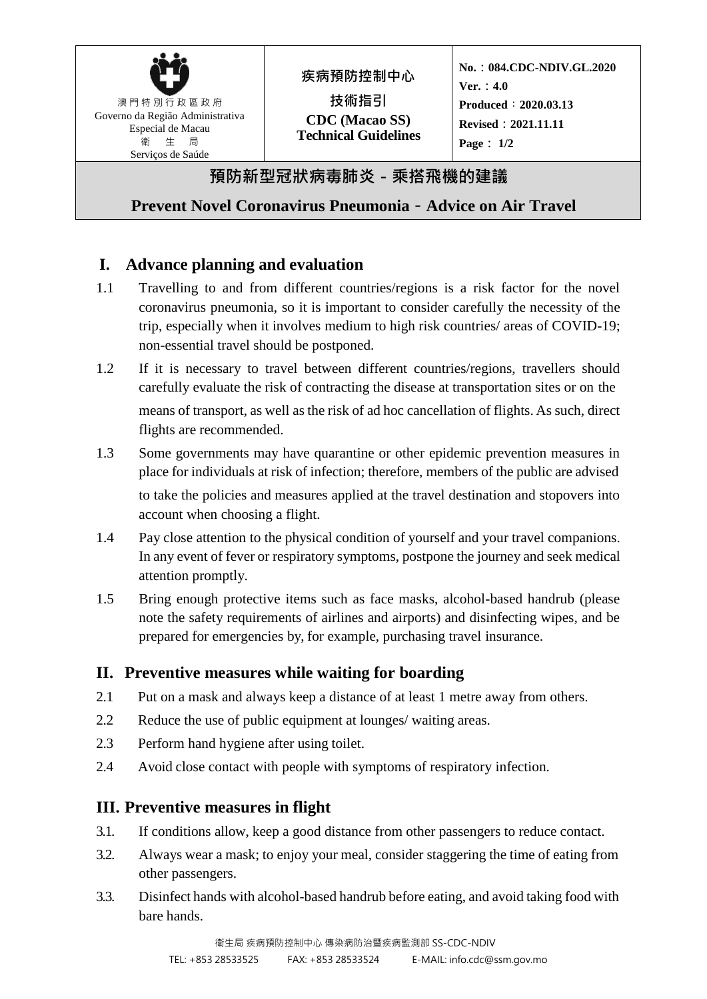| 澳門特別行政區政府<br>Governo da Região Administrativa<br>Especial de Macau<br>衛 牛 局<br>Servicos de Saúde | 疾病預防控制中心<br>技術指引<br><b>CDC</b> (Macao SS)<br><b>Technical Guidelines</b> | No.: 084.CDC-NDIV.GL.2020<br>Ver. : $4.0$<br>Produced : 2020.03.13<br><b>Revised: 2021.11.11</b><br>Page : $1/2$ |  |  |
|--------------------------------------------------------------------------------------------------|--------------------------------------------------------------------------|------------------------------------------------------------------------------------------------------------------|--|--|
| 預防新型冠狀病毒肺炎 - 乘搭飛機的建議                                                                             |                                                                          |                                                                                                                  |  |  |
| Prevent Novel Coronavirus Pneumonia - Advice on Air Travel                                       |                                                                          |                                                                                                                  |  |  |

# **I. Advance planning and evaluation**

- 1.1 Travelling to and from different countries/regions is a risk factor for the novel coronavirus pneumonia, so it is important to consider carefully the necessity of the trip, especially when it involves medium to high risk countries/ areas of COVID-19; non-essential travel should be postponed.
- 1.2 If it is necessary to travel between different countries/regions, travellers should carefully evaluate the risk of contracting the disease at transportation sites or on the means of transport, as well as the risk of ad hoc cancellation of flights. As such, direct flights are recommended.
- 1.3 Some governments may have quarantine or other epidemic prevention measures in place for individuals at risk of infection; therefore, members of the public are advised to take the policies and measures applied at the travel destination and stopovers into account when choosing a flight.
- 1.4 Pay close attention to the physical condition of yourself and your travel companions. In any event of fever or respiratory symptoms, postpone the journey and seek medical attention promptly.
- 1.5 Bring enough protective items such as face masks, alcohol-based handrub (please note the safety requirements of airlines and airports) and disinfecting wipes, and be prepared for emergencies by, for example, purchasing travel insurance.

## **II. Preventive measures while waiting for boarding**

- 2.1 Put on a mask and always keep a distance of at least 1 metre away from others.
- 2.2 Reduce the use of public equipment at lounges/ waiting areas.
- 2.3 Perform hand hygiene after using toilet.
- 2.4 Avoid close contact with people with symptoms of respiratory infection.

## **III. Preventive measures in flight**

- 3.1. If conditions allow, keep a good distance from other passengers to reduce contact.
- 3.2. Always wear a mask; to enjoy your meal, consider staggering the time of eating from other passengers.
- 3.3. Disinfect hands with alcohol-based handrub before eating, and avoid taking food with bare hands.